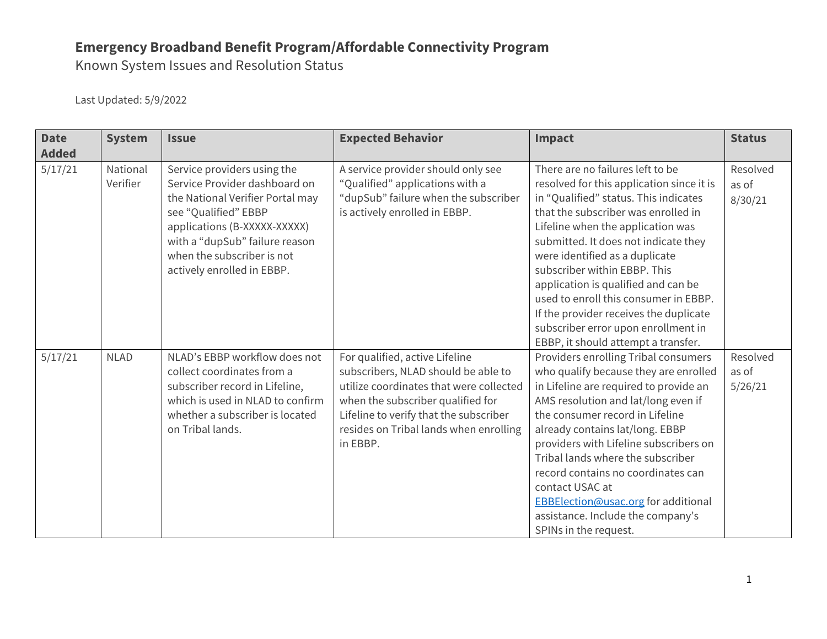Known System Issues and Resolution Status

| <b>Date</b><br><b>Added</b> | <b>System</b>        | <b>Issue</b>                                                                                                                                                                                                                                           | <b>Expected Behavior</b>                                                                                                                                                                                                                              | Impact                                                                                                                                                                                                                                                                                                                                                                                                                                                                                                               | <b>Status</b>                |
|-----------------------------|----------------------|--------------------------------------------------------------------------------------------------------------------------------------------------------------------------------------------------------------------------------------------------------|-------------------------------------------------------------------------------------------------------------------------------------------------------------------------------------------------------------------------------------------------------|----------------------------------------------------------------------------------------------------------------------------------------------------------------------------------------------------------------------------------------------------------------------------------------------------------------------------------------------------------------------------------------------------------------------------------------------------------------------------------------------------------------------|------------------------------|
| 5/17/21                     | National<br>Verifier | Service providers using the<br>Service Provider dashboard on<br>the National Verifier Portal may<br>see "Qualified" EBBP<br>applications (B-XXXXX-XXXXX)<br>with a "dupSub" failure reason<br>when the subscriber is not<br>actively enrolled in EBBP. | A service provider should only see<br>"Qualified" applications with a<br>"dupSub" failure when the subscriber<br>is actively enrolled in EBBP.                                                                                                        | There are no failures left to be<br>resolved for this application since it is<br>in "Qualified" status. This indicates<br>that the subscriber was enrolled in<br>Lifeline when the application was<br>submitted. It does not indicate they<br>were identified as a duplicate<br>subscriber within EBBP. This<br>application is qualified and can be<br>used to enroll this consumer in EBBP.<br>If the provider receives the duplicate<br>subscriber error upon enrollment in<br>EBBP, it should attempt a transfer. | Resolved<br>as of<br>8/30/21 |
| 5/17/21                     | <b>NLAD</b>          | NLAD's EBBP workflow does not<br>collect coordinates from a<br>subscriber record in Lifeline,<br>which is used in NLAD to confirm<br>whether a subscriber is located<br>on Tribal lands.                                                               | For qualified, active Lifeline<br>subscribers, NLAD should be able to<br>utilize coordinates that were collected<br>when the subscriber qualified for<br>Lifeline to verify that the subscriber<br>resides on Tribal lands when enrolling<br>in EBBP. | Providers enrolling Tribal consumers<br>who qualify because they are enrolled<br>in Lifeline are required to provide an<br>AMS resolution and lat/long even if<br>the consumer record in Lifeline<br>already contains lat/long. EBBP<br>providers with Lifeline subscribers on<br>Tribal lands where the subscriber<br>record contains no coordinates can<br>contact USAC at<br>EBBElection@usac.org for additional<br>assistance. Include the company's<br>SPINs in the request.                                    | Resolved<br>as of<br>5/26/21 |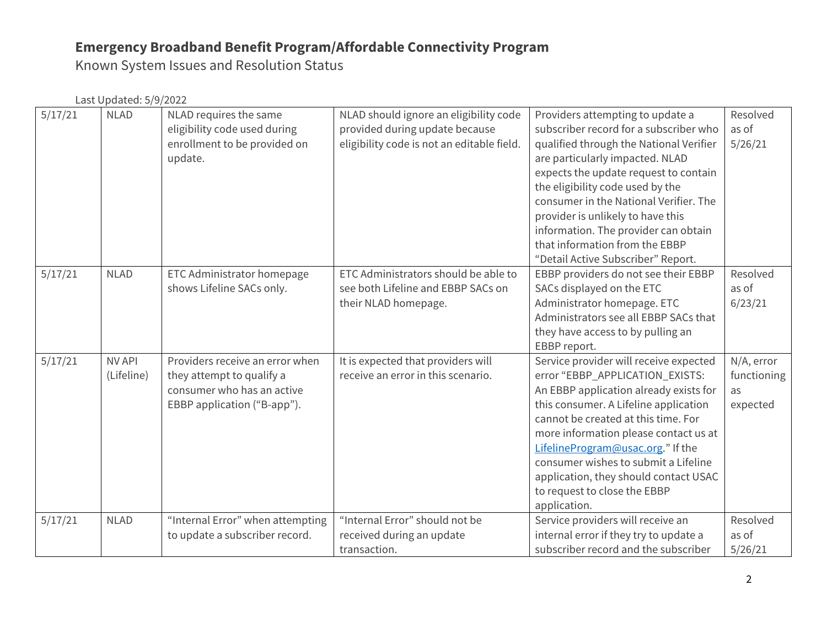Known System Issues and Resolution Status

| 5/17/21 | <b>NLAD</b>                 | NLAD requires the same<br>eligibility code used during<br>enrollment to be provided on<br>update.                         | NLAD should ignore an eligibility code<br>provided during update because<br>eligibility code is not an editable field. | Providers attempting to update a<br>subscriber record for a subscriber who<br>qualified through the National Verifier<br>are particularly impacted. NLAD<br>expects the update request to contain<br>the eligibility code used by the<br>consumer in the National Verifier. The<br>provider is unlikely to have this<br>information. The provider can obtain<br>that information from the EBBP<br>"Detail Active Subscriber" Report. | Resolved<br>as of<br>5/26/21                |
|---------|-----------------------------|---------------------------------------------------------------------------------------------------------------------------|------------------------------------------------------------------------------------------------------------------------|--------------------------------------------------------------------------------------------------------------------------------------------------------------------------------------------------------------------------------------------------------------------------------------------------------------------------------------------------------------------------------------------------------------------------------------|---------------------------------------------|
| 5/17/21 | <b>NLAD</b>                 | ETC Administrator homepage<br>shows Lifeline SACs only.                                                                   | ETC Administrators should be able to<br>see both Lifeline and EBBP SACs on<br>their NLAD homepage.                     | EBBP providers do not see their EBBP<br>SACs displayed on the ETC<br>Administrator homepage. ETC<br>Administrators see all EBBP SACs that<br>they have access to by pulling an<br>EBBP report.                                                                                                                                                                                                                                       | Resolved<br>as of<br>6/23/21                |
| 5/17/21 | <b>NV API</b><br>(Lifeline) | Providers receive an error when<br>they attempt to qualify a<br>consumer who has an active<br>EBBP application ("B-app"). | It is expected that providers will<br>receive an error in this scenario.                                               | Service provider will receive expected<br>error "EBBP_APPLICATION_EXISTS:<br>An EBBP application already exists for<br>this consumer. A Lifeline application<br>cannot be created at this time. For<br>more information please contact us at<br>LifelineProgram@usac.org." If the<br>consumer wishes to submit a Lifeline<br>application, they should contact USAC<br>to request to close the EBBP<br>application.                   | N/A, error<br>functioning<br>as<br>expected |
| 5/17/21 | <b>NLAD</b>                 | "Internal Error" when attempting<br>to update a subscriber record.                                                        | "Internal Error" should not be<br>received during an update<br>transaction.                                            | Service providers will receive an<br>internal error if they try to update a<br>subscriber record and the subscriber                                                                                                                                                                                                                                                                                                                  | Resolved<br>as of<br>5/26/21                |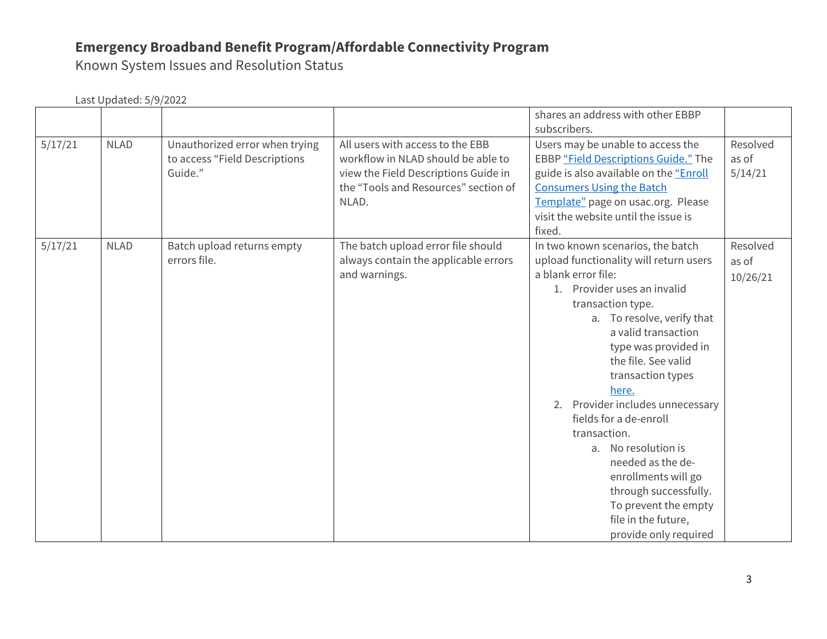Known System Issues and Resolution Status

|         | Last Updated: 5/9/2022 |                                                                            |                                                                                                                                                                 |                                                                                                                                                                                                                                                                                                                                                                                                                                                                                                                                            |                               |  |
|---------|------------------------|----------------------------------------------------------------------------|-----------------------------------------------------------------------------------------------------------------------------------------------------------------|--------------------------------------------------------------------------------------------------------------------------------------------------------------------------------------------------------------------------------------------------------------------------------------------------------------------------------------------------------------------------------------------------------------------------------------------------------------------------------------------------------------------------------------------|-------------------------------|--|
|         |                        |                                                                            |                                                                                                                                                                 | shares an address with other EBBP<br>subscribers.                                                                                                                                                                                                                                                                                                                                                                                                                                                                                          |                               |  |
| 5/17/21 | <b>NLAD</b>            | Unauthorized error when trying<br>to access "Field Descriptions<br>Guide." | All users with access to the EBB<br>workflow in NLAD should be able to<br>view the Field Descriptions Guide in<br>the "Tools and Resources" section of<br>NLAD. | Users may be unable to access the<br>EBBP "Field Descriptions Guide." The<br>guide is also available on the "Enroll<br><b>Consumers Using the Batch</b><br>Template" page on usac.org. Please<br>visit the website until the issue is<br>fixed.                                                                                                                                                                                                                                                                                            | Resolved<br>as of<br>5/14/21  |  |
| 5/17/21 | <b>NLAD</b>            | Batch upload returns empty<br>errors file.                                 | The batch upload error file should<br>always contain the applicable errors<br>and warnings.                                                                     | In two known scenarios, the batch<br>upload functionality will return users<br>a blank error file:<br>1. Provider uses an invalid<br>transaction type.<br>a. To resolve, verify that<br>a valid transaction<br>type was provided in<br>the file. See valid<br>transaction types<br>here.<br>2. Provider includes unnecessary<br>fields for a de-enroll<br>transaction.<br>a. No resolution is<br>needed as the de-<br>enrollments will go<br>through successfully.<br>To prevent the empty<br>file in the future,<br>provide only required | Resolved<br>as of<br>10/26/21 |  |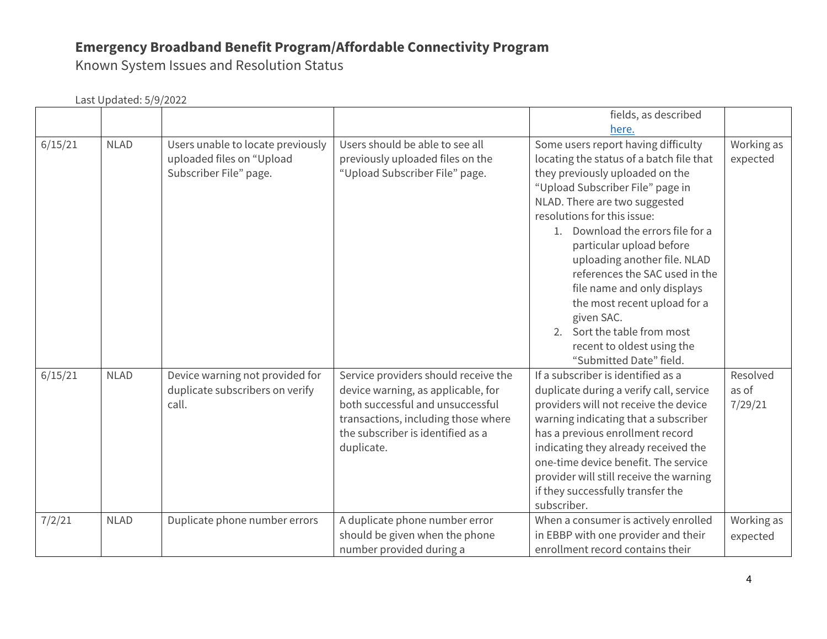Known System Issues and Resolution Status

|         |             |                                                                                          |                                                                                                                                                                                                          | fields, as described                                                                                                                                                                                                                                                                                                                                                                                                                                                                                                           |                              |
|---------|-------------|------------------------------------------------------------------------------------------|----------------------------------------------------------------------------------------------------------------------------------------------------------------------------------------------------------|--------------------------------------------------------------------------------------------------------------------------------------------------------------------------------------------------------------------------------------------------------------------------------------------------------------------------------------------------------------------------------------------------------------------------------------------------------------------------------------------------------------------------------|------------------------------|
|         |             |                                                                                          |                                                                                                                                                                                                          | here.                                                                                                                                                                                                                                                                                                                                                                                                                                                                                                                          |                              |
| 6/15/21 | <b>NLAD</b> | Users unable to locate previously<br>uploaded files on "Upload<br>Subscriber File" page. | Users should be able to see all<br>previously uploaded files on the<br>"Upload Subscriber File" page.                                                                                                    | Some users report having difficulty<br>locating the status of a batch file that<br>they previously uploaded on the<br>"Upload Subscriber File" page in<br>NLAD. There are two suggested<br>resolutions for this issue:<br>1. Download the errors file for a<br>particular upload before<br>uploading another file. NLAD<br>references the SAC used in the<br>file name and only displays<br>the most recent upload for a<br>given SAC.<br>2. Sort the table from most<br>recent to oldest using the<br>"Submitted Date" field. | Working as<br>expected       |
| 6/15/21 | <b>NLAD</b> | Device warning not provided for<br>duplicate subscribers on verify<br>call.              | Service providers should receive the<br>device warning, as applicable, for<br>both successful and unsuccessful<br>transactions, including those where<br>the subscriber is identified as a<br>duplicate. | If a subscriber is identified as a<br>duplicate during a verify call, service<br>providers will not receive the device<br>warning indicating that a subscriber<br>has a previous enrollment record<br>indicating they already received the<br>one-time device benefit. The service<br>provider will still receive the warning<br>if they successfully transfer the<br>subscriber.                                                                                                                                              | Resolved<br>as of<br>7/29/21 |
| 7/2/21  | <b>NLAD</b> | Duplicate phone number errors                                                            | A duplicate phone number error<br>should be given when the phone<br>number provided during a                                                                                                             | When a consumer is actively enrolled<br>in EBBP with one provider and their<br>enrollment record contains their                                                                                                                                                                                                                                                                                                                                                                                                                | Working as<br>expected       |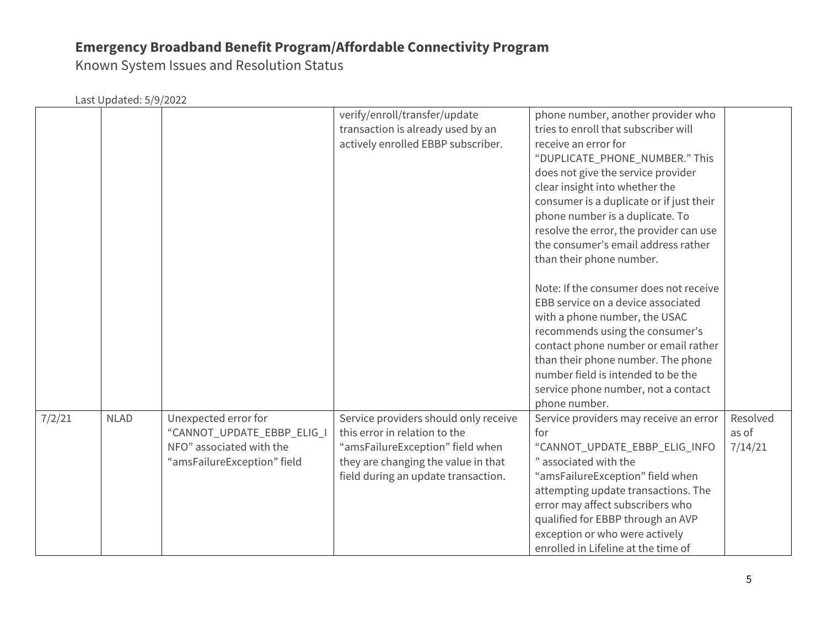Known System Issues and Resolution Status

|        |             |                                                                                                               | verify/enroll/transfer/update<br>transaction is already used by an<br>actively enrolled EBBP subscriber.                                                                                 | phone number, another provider who<br>tries to enroll that subscriber will<br>receive an error for<br>"DUPLICATE_PHONE_NUMBER." This<br>does not give the service provider<br>clear insight into whether the<br>consumer is a duplicate or if just their<br>phone number is a duplicate. To<br>resolve the error, the provider can use<br>the consumer's email address rather<br>than their phone number. |                              |
|--------|-------------|---------------------------------------------------------------------------------------------------------------|------------------------------------------------------------------------------------------------------------------------------------------------------------------------------------------|-----------------------------------------------------------------------------------------------------------------------------------------------------------------------------------------------------------------------------------------------------------------------------------------------------------------------------------------------------------------------------------------------------------|------------------------------|
|        |             |                                                                                                               |                                                                                                                                                                                          | Note: If the consumer does not receive<br>EBB service on a device associated<br>with a phone number, the USAC<br>recommends using the consumer's<br>contact phone number or email rather<br>than their phone number. The phone<br>number field is intended to be the<br>service phone number, not a contact<br>phone number.                                                                              |                              |
| 7/2/21 | <b>NLAD</b> | Unexpected error for<br>"CANNOT_UPDATE_EBBP_ELIG_I<br>NFO" associated with the<br>"amsFailureException" field | Service providers should only receive<br>this error in relation to the<br>"amsFailureException" field when<br>they are changing the value in that<br>field during an update transaction. | Service providers may receive an error<br>for<br>"CANNOT_UPDATE_EBBP_ELIG_INFO<br>" associated with the<br>"amsFailureException" field when<br>attempting update transactions. The<br>error may affect subscribers who<br>qualified for EBBP through an AVP<br>exception or who were actively<br>enrolled in Lifeline at the time of                                                                      | Resolved<br>as of<br>7/14/21 |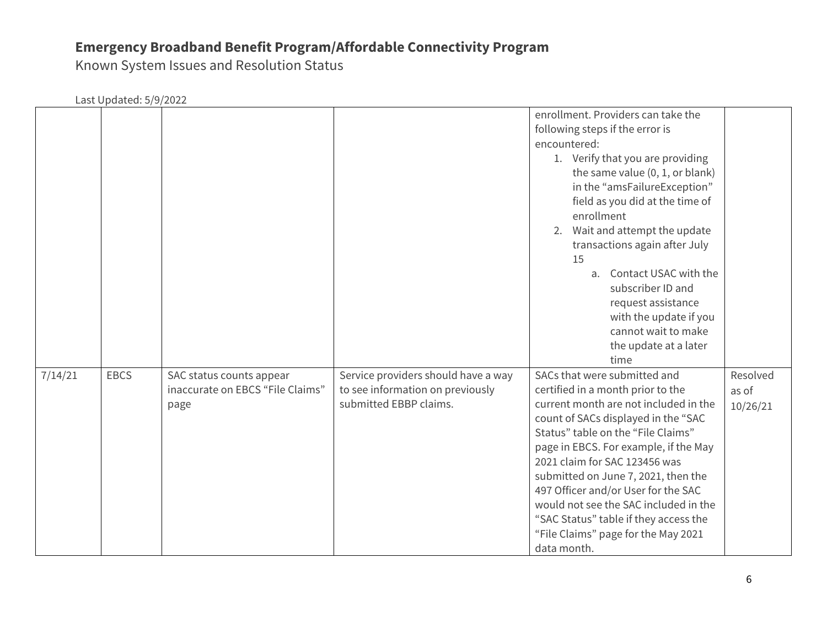Known System Issues and Resolution Status

|         | Last Updated: 5/9/2022 |                                                                      |                                                                                                   |                                                                                                                                                                                                                                                                                                                                                                                                                                                                                         |                               |
|---------|------------------------|----------------------------------------------------------------------|---------------------------------------------------------------------------------------------------|-----------------------------------------------------------------------------------------------------------------------------------------------------------------------------------------------------------------------------------------------------------------------------------------------------------------------------------------------------------------------------------------------------------------------------------------------------------------------------------------|-------------------------------|
|         |                        |                                                                      |                                                                                                   | enrollment. Providers can take the<br>following steps if the error is<br>encountered:<br>1. Verify that you are providing<br>the same value (0, 1, or blank)<br>in the "amsFailureException"<br>field as you did at the time of<br>enrollment<br>2. Wait and attempt the update<br>transactions again after July<br>15<br>a. Contact USAC with the<br>subscriber ID and<br>request assistance<br>with the update if you<br>cannot wait to make<br>the update at a later<br>time         |                               |
| 7/14/21 | <b>EBCS</b>            | SAC status counts appear<br>inaccurate on EBCS "File Claims"<br>page | Service providers should have a way<br>to see information on previously<br>submitted EBBP claims. | SACs that were submitted and<br>certified in a month prior to the<br>current month are not included in the<br>count of SACs displayed in the "SAC<br>Status" table on the "File Claims"<br>page in EBCS. For example, if the May<br>2021 claim for SAC 123456 was<br>submitted on June 7, 2021, then the<br>497 Officer and/or User for the SAC<br>would not see the SAC included in the<br>"SAC Status" table if they access the<br>"File Claims" page for the May 2021<br>data month. | Resolved<br>as of<br>10/26/21 |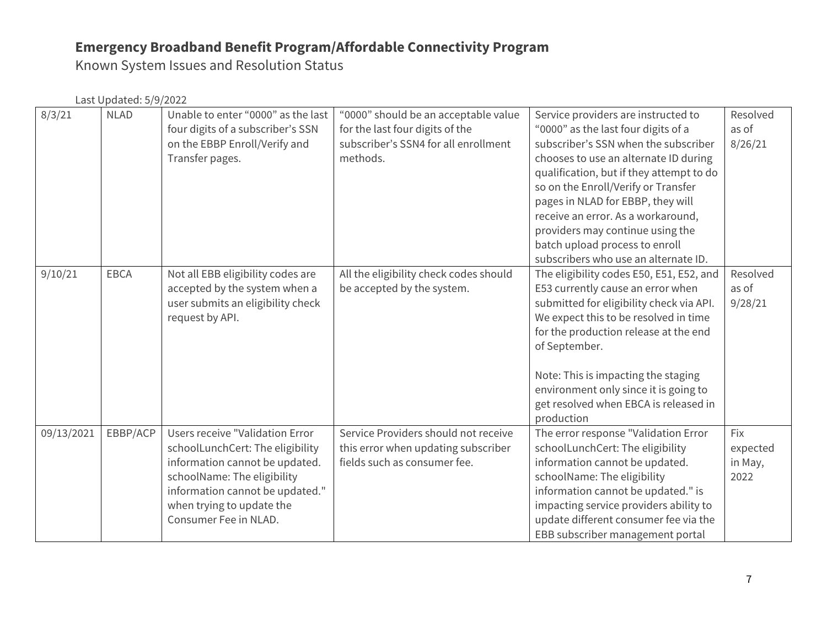Known System Issues and Resolution Status

| 8/3/21     | <b>NLAD</b> | Unable to enter "0000" as the last<br>four digits of a subscriber's SSN<br>on the EBBP Enroll/Verify and<br>Transfer pages.                                                                                                          | "0000" should be an acceptable value<br>for the last four digits of the<br>subscriber's SSN4 for all enrollment<br>methods. | Service providers are instructed to<br>"0000" as the last four digits of a<br>subscriber's SSN when the subscriber<br>chooses to use an alternate ID during<br>qualification, but if they attempt to do<br>so on the Enroll/Verify or Transfer<br>pages in NLAD for EBBP, they will<br>receive an error. As a workaround,<br>providers may continue using the<br>batch upload process to enroll<br>subscribers who use an alternate ID. | Resolved<br>as of<br>8/26/21       |
|------------|-------------|--------------------------------------------------------------------------------------------------------------------------------------------------------------------------------------------------------------------------------------|-----------------------------------------------------------------------------------------------------------------------------|-----------------------------------------------------------------------------------------------------------------------------------------------------------------------------------------------------------------------------------------------------------------------------------------------------------------------------------------------------------------------------------------------------------------------------------------|------------------------------------|
| 9/10/21    | <b>EBCA</b> | Not all EBB eligibility codes are<br>accepted by the system when a<br>user submits an eligibility check<br>request by API.                                                                                                           | All the eligibility check codes should<br>be accepted by the system.                                                        | The eligibility codes E50, E51, E52, and<br>E53 currently cause an error when<br>submitted for eligibility check via API.<br>We expect this to be resolved in time<br>for the production release at the end<br>of September.<br>Note: This is impacting the staging<br>environment only since it is going to<br>get resolved when EBCA is released in<br>production                                                                     | Resolved<br>as of<br>9/28/21       |
| 09/13/2021 | EBBP/ACP    | <b>Users receive "Validation Error</b><br>schoolLunchCert: The eligibility<br>information cannot be updated.<br>schoolName: The eligibility<br>information cannot be updated."<br>when trying to update the<br>Consumer Fee in NLAD. | Service Providers should not receive<br>this error when updating subscriber<br>fields such as consumer fee.                 | The error response "Validation Error<br>schoolLunchCert: The eligibility<br>information cannot be updated.<br>schoolName: The eligibility<br>information cannot be updated." is<br>impacting service providers ability to<br>update different consumer fee via the<br>EBB subscriber management portal                                                                                                                                  | Fix<br>expected<br>in May,<br>2022 |